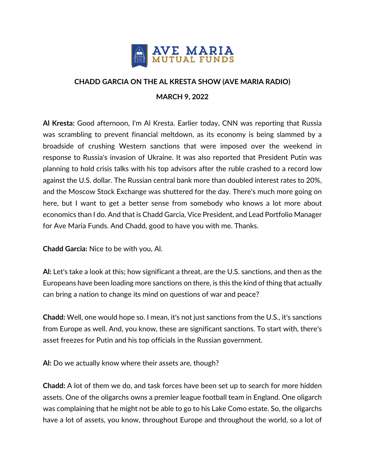

## **CHADD GARCIA ON THE AL KRESTA SHOW (AVE MARIA RADIO) MARCH 9, 2022**

**Al Kresta:** Good afternoon, I'm Al Kresta. Earlier today, CNN was reporting that Russia was scrambling to prevent financial meltdown, as its economy is being slammed by a broadside of crushing Western sanctions that were imposed over the weekend in response to Russia's invasion of Ukraine. It was also reported that President Putin was planning to hold crisis talks with his top advisors after the ruble crashed to a record low against the U.S. dollar. The Russian central bank more than doubled interest rates to 20%, and the Moscow Stock Exchange was shuttered for the day. There's much more going on here, but I want to get a better sense from somebody who knows a lot more about economics than I do. And that is Chadd Garcia, Vice President, and Lead Portfolio Manager for Ave Maria Funds. And Chadd, good to have you with me. Thanks.

**Chadd Garcia:** Nice to be with you, Al.

**Al:** Let's take a look at this; how significant a threat, are the U.S. sanctions, and then as the Europeans have been loading more sanctions on there, is this the kind of thing that actually can bring a nation to change its mind on questions of war and peace?

**Chadd:** Well, one would hope so. I mean, it's not just sanctions from the U.S., it's sanctions from Europe as well. And, you know, these are significant sanctions. To start with, there's asset freezes for Putin and his top officials in the Russian government.

**Al:** Do we actually know where their assets are, though?

**Chadd:** A lot of them we do, and task forces have been set up to search for more hidden assets. One of the oligarchs owns a premier league football team in England. One oligarch was complaining that he might not be able to go to his Lake Como estate. So, the oligarchs have a lot of assets, you know, throughout Europe and throughout the world, so a lot of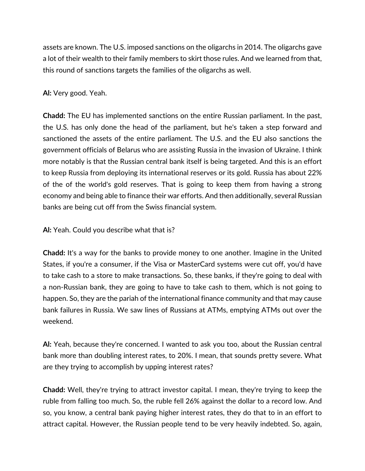assets are known. The U.S. imposed sanctions on the oligarchs in 2014. The oligarchs gave a lot of their wealth to their family members to skirt those rules. And we learned from that, this round of sanctions targets the families of the oligarchs as well.

**Al:** Very good. Yeah.

**Chadd:** The EU has implemented sanctions on the entire Russian parliament. In the past, the U.S. has only done the head of the parliament, but he's taken a step forward and sanctioned the assets of the entire parliament. The U.S. and the EU also sanctions the government officials of Belarus who are assisting Russia in the invasion of Ukraine. I think more notably is that the Russian central bank itself is being targeted. And this is an effort to keep Russia from deploying its international reserves or its gold. Russia has about 22% of the of the world's gold reserves. That is going to keep them from having a strong economy and being able to finance their war efforts. And then additionally, several Russian banks are being cut off from the Swiss financial system.

**Al:** Yeah. Could you describe what that is?

**Chadd:** It's a way for the banks to provide money to one another. Imagine in the United States, if you're a consumer, if the Visa or MasterCard systems were cut off, you'd have to take cash to a store to make transactions. So, these banks, if they're going to deal with a non-Russian bank, they are going to have to take cash to them, which is not going to happen. So, they are the pariah of the international finance community and that may cause bank failures in Russia. We saw lines of Russians at ATMs, emptying ATMs out over the weekend.

**Al:** Yeah, because they're concerned. I wanted to ask you too, about the Russian central bank more than doubling interest rates, to 20%. I mean, that sounds pretty severe. What are they trying to accomplish by upping interest rates?

**Chadd:** Well, they're trying to attract investor capital. I mean, they're trying to keep the ruble from falling too much. So, the ruble fell 26% against the dollar to a record low. And so, you know, a central bank paying higher interest rates, they do that to in an effort to attract capital. However, the Russian people tend to be very heavily indebted. So, again,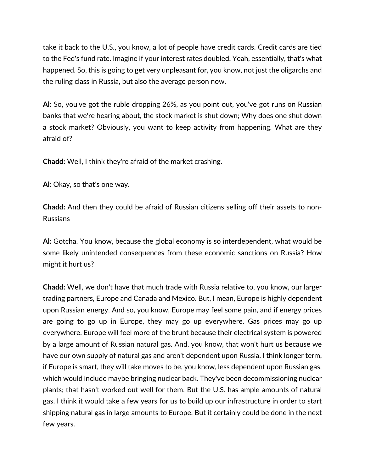take it back to the U.S., you know, a lot of people have credit cards. Credit cards are tied to the Fed's fund rate. Imagine if your interest rates doubled. Yeah, essentially, that's what happened. So, this is going to get very unpleasant for, you know, not just the oligarchs and the ruling class in Russia, but also the average person now.

**Al:** So, you've got the ruble dropping 26%, as you point out, you've got runs on Russian banks that we're hearing about, the stock market is shut down; Why does one shut down a stock market? Obviously, you want to keep activity from happening. What are they afraid of?

**Chadd:** Well, I think they're afraid of the market crashing.

**Al:** Okay, so that's one way.

**Chadd:** And then they could be afraid of Russian citizens selling off their assets to non-Russians

**Al:** Gotcha. You know, because the global economy is so interdependent, what would be some likely unintended consequences from these economic sanctions on Russia? How might it hurt us?

**Chadd:** Well, we don't have that much trade with Russia relative to, you know, our larger trading partners, Europe and Canada and Mexico. But, I mean, Europe is highly dependent upon Russian energy. And so, you know, Europe may feel some pain, and if energy prices are going to go up in Europe, they may go up everywhere. Gas prices may go up everywhere. Europe will feel more of the brunt because their electrical system is powered by a large amount of Russian natural gas. And, you know, that won't hurt us because we have our own supply of natural gas and aren't dependent upon Russia. I think longer term, if Europe is smart, they will take moves to be, you know, less dependent upon Russian gas, which would include maybe bringing nuclear back. They've been decommissioning nuclear plants; that hasn't worked out well for them. But the U.S. has ample amounts of natural gas. I think it would take a few years for us to build up our infrastructure in order to start shipping natural gas in large amounts to Europe. But it certainly could be done in the next few years.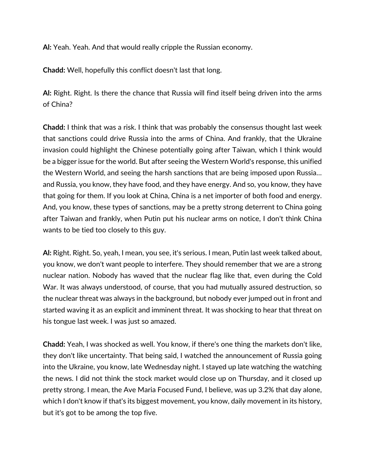**Al:** Yeah. Yeah. And that would really cripple the Russian economy.

**Chadd:** Well, hopefully this conflict doesn't last that long.

**Al:** Right. Right. Is there the chance that Russia will find itself being driven into the arms of China?

**Chadd:** I think that was a risk. I think that was probably the consensus thought last week that sanctions could drive Russia into the arms of China. And frankly, that the Ukraine invasion could highlight the Chinese potentially going after Taiwan, which I think would be a bigger issue for the world. But after seeing the Western World's response, this unified the Western World, and seeing the harsh sanctions that are being imposed upon Russia… and Russia, you know, they have food, and they have energy. And so, you know, they have that going for them. If you look at China, China is a net importer of both food and energy. And, you know, these types of sanctions, may be a pretty strong deterrent to China going after Taiwan and frankly, when Putin put his nuclear arms on notice, I don't think China wants to be tied too closely to this guy.

**Al:** Right. Right. So, yeah, I mean, you see, it's serious. I mean, Putin last week talked about, you know, we don't want people to interfere. They should remember that we are a strong nuclear nation. Nobody has waved that the nuclear flag like that, even during the Cold War. It was always understood, of course, that you had mutually assured destruction, so the nuclear threat was always in the background, but nobody ever jumped out in front and started waving it as an explicit and imminent threat. It was shocking to hear that threat on his tongue last week. I was just so amazed.

**Chadd:** Yeah, I was shocked as well. You know, if there's one thing the markets don't like, they don't like uncertainty. That being said, I watched the announcement of Russia going into the Ukraine, you know, late Wednesday night. I stayed up late watching the watching the news. I did not think the stock market would close up on Thursday, and it closed up pretty strong. I mean, the Ave Maria Focused Fund, I believe, was up 3.2% that day alone, which I don't know if that's its biggest movement, you know, daily movement in its history, but it's got to be among the top five.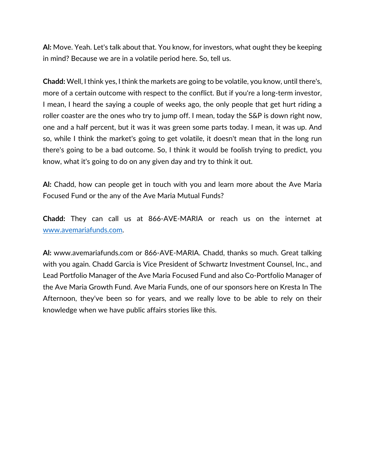**Al:** Move. Yeah. Let's talk about that. You know, for investors, what ought they be keeping in mind? Because we are in a volatile period here. So, tell us.

**Chadd:** Well, I think yes, I think the markets are going to be volatile, you know, until there's, more of a certain outcome with respect to the conflict. But if you're a long-term investor, I mean, I heard the saying a couple of weeks ago, the only people that get hurt riding a roller coaster are the ones who try to jump off. I mean, today the S&P is down right now, one and a half percent, but it was it was green some parts today. I mean, it was up. And so, while I think the market's going to get volatile, it doesn't mean that in the long run there's going to be a bad outcome. So, I think it would be foolish trying to predict, you know, what it's going to do on any given day and try to think it out.

**Al:** Chadd, how can people get in touch with you and learn more about the Ave Maria Focused Fund or the any of the Ave Maria Mutual Funds?

**Chadd:** They can call us at 866-AVE-MARIA or reach us on the internet at www.avemariafunds.com.

**Al:** www.avemariafunds.com or 866-AVE-MARIA. Chadd, thanks so much. Great talking with you again. Chadd Garcia is Vice President of Schwartz Investment Counsel, Inc., and Lead Portfolio Manager of the Ave Maria Focused Fund and also Co-Portfolio Manager of the Ave Maria Growth Fund. Ave Maria Funds, one of our sponsors here on Kresta In The Afternoon, they've been so for years, and we really love to be able to rely on their knowledge when we have public affairs stories like this.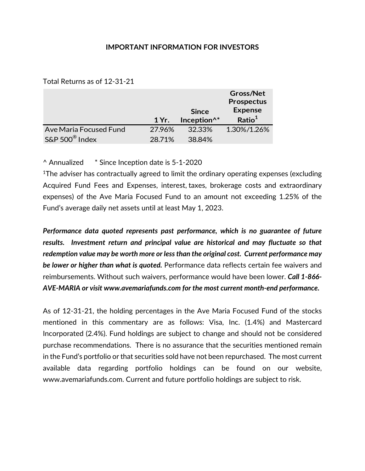## **IMPORTANT INFORMATION FOR INVESTORS**

Total Returns as of 12-31-21

|                        |        |                         | Gross/Net          |
|------------------------|--------|-------------------------|--------------------|
|                        |        |                         | <b>Prospectus</b>  |
|                        |        | <b>Since</b>            | <b>Expense</b>     |
|                        | 1 Yr.  | Inception <sup>^*</sup> | Ratio <sup>1</sup> |
|                        |        |                         |                    |
| Ave Maria Focused Fund | 27.96% | 32.33%                  | 1.30%/1.26%        |

^ Annualized \* Since Inception date is 5-1-2020

1The adviser has contractually agreed to limit the ordinary operating expenses (excluding Acquired Fund Fees and Expenses, interest, taxes, brokerage costs and extraordinary expenses) of the Ave Maria Focused Fund to an amount not exceeding 1.25% of the Fund's average daily net assets until at least May 1, 2023.

*Performance data quoted represents past performance, which is no guarantee of future results. Investment return and principal value are historical and may fluctuate so that redemption value may be worth more or less than the original cost. Current performance may be lower or higher than what is quoted.* Performance data reflects certain fee waivers and reimbursements. Without such waivers, performance would have been lower. *Call 1-866- AVE-MARIA or visit www.avemariafunds.com for the most current month-end performance.*

As of 12-31-21, the holding percentages in the Ave Maria Focused Fund of the stocks mentioned in this commentary are as follows: Visa, Inc. (1.4%) and Mastercard Incorporated (2.4%). Fund holdings are subject to change and should not be considered purchase recommendations. There is no assurance that the securities mentioned remain in the Fund's portfolio or that securities sold have not been repurchased. The most current available data regarding portfolio holdings can be found on our website, www.avemariafunds.com. Current and future portfolio holdings are subject to risk.